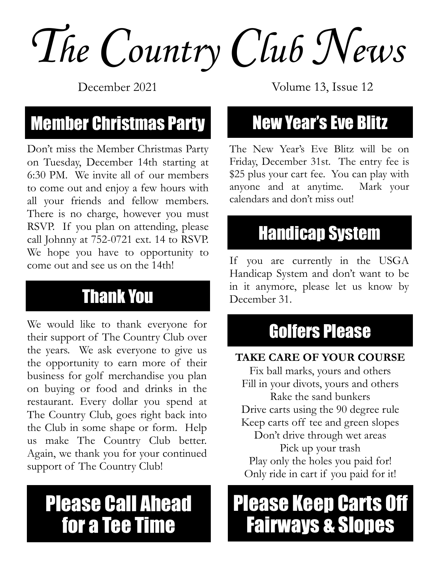*The Country Club News*

December 2021

### **Member Christmas Party New Year's Eve Blitz**

Don't miss the Member Christmas Party on Tuesday, December 14th starting at 6:30 PM. We invite all of our members to come out and enjoy a few hours with all your friends and fellow members. There is no charge, however you must RSVP. If you plan on attending, please call Johnny at 752-0721 ext. 14 to RSVP. We hope you have to opportunity to come out and see us on the 14th!

### Thank You

We would like to thank everyone for their support of The Country Club over the years. We ask everyone to give us the opportunity to earn more of their business for golf merchandise you plan on buying or food and drinks in the restaurant. Every dollar you spend at The Country Club, goes right back into the Club in some shape or form. Help us make The Country Club better. Again, we thank you for your continued support of The Country Club!

### Please Call Ahead for a Tee Time

Volume 13, Issue 12

The New Year's Eve Blitz will be on Friday, December 31st. The entry fee is \$25 plus your cart fee. You can play with anyone and at anytime. Mark your calendars and don't miss out!

### Handicap System

If you are currently in the USGA Handicap System and don't want to be in it anymore, please let us know by December 31.

### Golfers Please

#### **TAKE CARE OF YOUR COURSE**

Fix ball marks, yours and others Fill in your divots, yours and others Rake the sand bunkers Drive carts using the 90 degree rule Keep carts off tee and green slopes Don't drive through wet areas Pick up your trash Play only the holes you paid for! Only ride in cart if you paid for it!

### Please Keep Carts Off Fairways & Slopes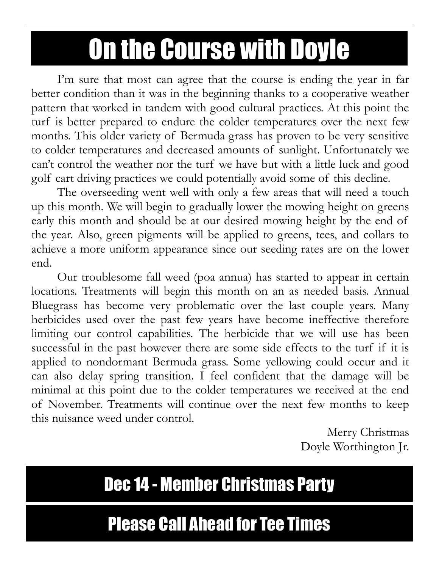## On the Course with Doyle

I'm sure that most can agree that the course is ending the year in far better condition than it was in the beginning thanks to a cooperative weather pattern that worked in tandem with good cultural practices. At this point the turf is better prepared to endure the colder temperatures over the next few months. This older variety of Bermuda grass has proven to be very sensitive to colder temperatures and decreased amounts of sunlight. Unfortunately we can't control the weather nor the turf we have but with a little luck and good golf cart driving practices we could potentially avoid some of this decline.

The overseeding went well with only a few areas that will need a touch up this month. We will begin to gradually lower the mowing height on greens early this month and should be at our desired mowing height by the end of the year. Also, green pigments will be applied to greens, tees, and collars to achieve a more uniform appearance since our seeding rates are on the lower end.

Our troublesome fall weed (poa annua) has started to appear in certain locations. Treatments will begin this month on an as needed basis. Annual Bluegrass has become very problematic over the last couple years. Many herbicides used over the past few years have become ineffective therefore limiting our control capabilities. The herbicide that we will use has been successful in the past however there are some side effects to the turf if it is applied to nondormant Bermuda grass. Some yellowing could occur and it can also delay spring transition. I feel confident that the damage will be minimal at this point due to the colder temperatures we received at the end of November. Treatments will continue over the next few months to keep this nuisance weed under control.

Merry Christmas Doyle Worthington Jr.

### Dec 14 - Member Christmas Party

### Please Call Ahead for Tee Times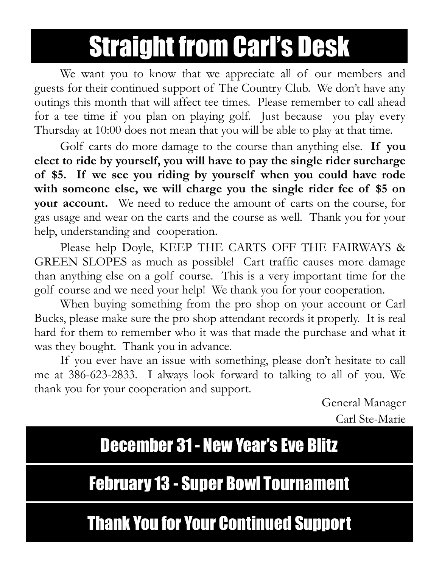### Straight from Carl's Desk

We want you to know that we appreciate all of our members and guests for their continued support of The Country Club. We don't have any outings this month that will affect tee times. Please remember to call ahead for a tee time if you plan on playing golf. Just because you play every Thursday at 10:00 does not mean that you will be able to play at that time.

Golf carts do more damage to the course than anything else. **If you elect to ride by yourself, you will have to pay the single rider surcharge of \$5. If we see you riding by yourself when you could have rode with someone else, we will charge you the single rider fee of \$5 on your account.** We need to reduce the amount of carts on the course, for gas usage and wear on the carts and the course as well. Thank you for your help, understanding and cooperation.

Please help Doyle, KEEP THE CARTS OFF THE FAIRWAYS & GREEN SLOPES as much as possible! Cart traffic causes more damage than anything else on a golf course. This is a very important time for the golf course and we need your help! We thank you for your cooperation.

When buying something from the pro shop on your account or Carl Bucks, please make sure the pro shop attendant records it properly. It is real hard for them to remember who it was that made the purchase and what it was they bought. Thank you in advance.

If you ever have an issue with something, please don't hesitate to call me at 386-623-2833. I always look forward to talking to all of you. We thank you for your cooperation and support.

> General Manager Carl Ste-Marie

December 31 - New Year's Eve Blitz

### February 13 - Super Bowl Tournament

Thank You for Your Continued Support